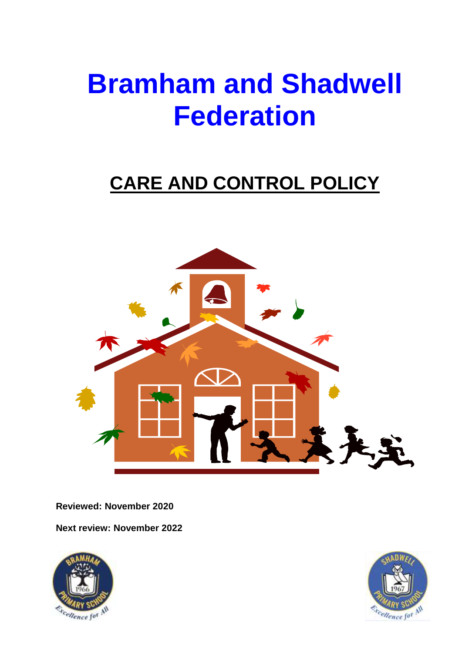# **Bramham and Shadwell Federation**

# **CARE AND CONTROL POLICY**



**Reviewed: November 2020**

**Next review: November 2022**



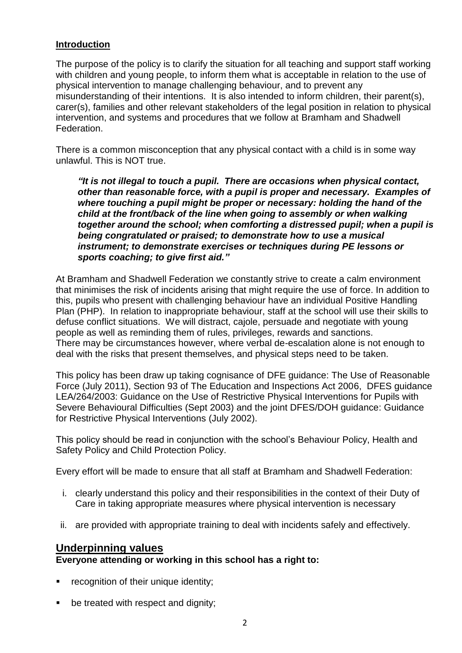#### **Introduction**

The purpose of the policy is to clarify the situation for all teaching and support staff working with children and young people, to inform them what is acceptable in relation to the use of physical intervention to manage challenging behaviour, and to prevent any misunderstanding of their intentions. It is also intended to inform children, their parent(s), carer(s), families and other relevant stakeholders of the legal position in relation to physical intervention, and systems and procedures that we follow at Bramham and Shadwell Federation.

There is a common misconception that any physical contact with a child is in some way unlawful. This is NOT true.

*"It is not illegal to touch a pupil. There are occasions when physical contact, other than reasonable force, with a pupil is proper and necessary. Examples of where touching a pupil might be proper or necessary: holding the hand of the child at the front/back of the line when going to assembly or when walking together around the school; when comforting a distressed pupil; when a pupil is being congratulated or praised; to demonstrate how to use a musical instrument; to demonstrate exercises or techniques during PE lessons or sports coaching; to give first aid."*

At Bramham and Shadwell Federation we constantly strive to create a calm environment that minimises the risk of incidents arising that might require the use of force. In addition to this, pupils who present with challenging behaviour have an individual Positive Handling Plan (PHP). In relation to inappropriate behaviour, staff at the school will use their skills to defuse conflict situations. We will distract, cajole, persuade and negotiate with young people as well as reminding them of rules, privileges, rewards and sanctions. There may be circumstances however, where verbal de-escalation alone is not enough to deal with the risks that present themselves, and physical steps need to be taken.

This policy has been draw up taking cognisance of DFE guidance: The Use of Reasonable Force (July 2011), Section 93 of The Education and Inspections Act 2006, DFES guidance LEA/264/2003: Guidance on the Use of Restrictive Physical Interventions for Pupils with Severe Behavioural Difficulties (Sept 2003) and the joint DFES/DOH guidance: Guidance for Restrictive Physical Interventions (July 2002).

This policy should be read in conjunction with the school's Behaviour Policy, Health and Safety Policy and Child Protection Policy.

Every effort will be made to ensure that all staff at Bramham and Shadwell Federation:

- i. clearly understand this policy and their responsibilities in the context of their Duty of Care in taking appropriate measures where physical intervention is necessary
- ii. are provided with appropriate training to deal with incidents safely and effectively.

# **Underpinning values**

**Everyone attending or working in this school has a right to:**

- **•** recognition of their unique identity;
- be treated with respect and dignity;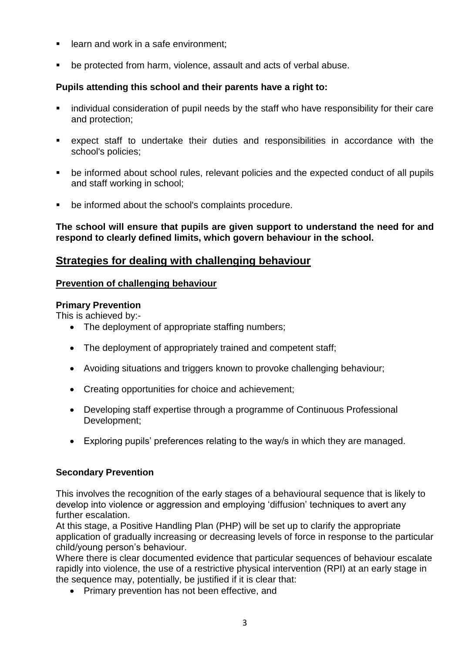- **EXEC** learn and work in a safe environment;
- be protected from harm, violence, assault and acts of verbal abuse.

#### **Pupils attending this school and their parents have a right to:**

- individual consideration of pupil needs by the staff who have responsibility for their care and protection;
- expect staff to undertake their duties and responsibilities in accordance with the school's policies;
- be informed about school rules, relevant policies and the expected conduct of all pupils and staff working in school;
- be informed about the school's complaints procedure.

**The school will ensure that pupils are given support to understand the need for and respond to clearly defined limits, which govern behaviour in the school.**

# **Strategies for dealing with challenging behaviour**

#### **Prevention of challenging behaviour**

#### **Primary Prevention**

This is achieved by:-

- The deployment of appropriate staffing numbers;
- The deployment of appropriately trained and competent staff;
- Avoiding situations and triggers known to provoke challenging behaviour;
- Creating opportunities for choice and achievement;
- Developing staff expertise through a programme of Continuous Professional Development;
- Exploring pupils' preferences relating to the way/s in which they are managed.

#### **Secondary Prevention**

This involves the recognition of the early stages of a behavioural sequence that is likely to develop into violence or aggression and employing 'diffusion' techniques to avert any further escalation.

At this stage, a Positive Handling Plan (PHP) will be set up to clarify the appropriate application of gradually increasing or decreasing levels of force in response to the particular child/young person's behaviour.

Where there is clear documented evidence that particular sequences of behaviour escalate rapidly into violence, the use of a restrictive physical intervention (RPI) at an early stage in the sequence may, potentially, be justified if it is clear that:

• Primary prevention has not been effective, and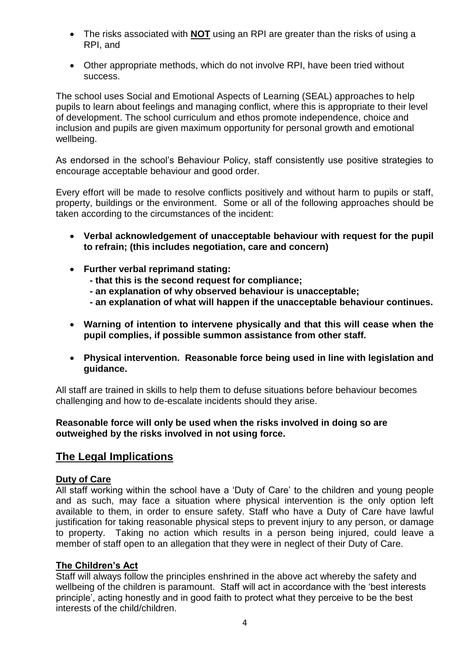- The risks associated with **NOT** using an RPI are greater than the risks of using a RPI, and
- Other appropriate methods, which do not involve RPI, have been tried without success.

The school uses Social and Emotional Aspects of Learning (SEAL) approaches to help pupils to learn about feelings and managing conflict, where this is appropriate to their level of development. The school curriculum and ethos promote independence, choice and inclusion and pupils are given maximum opportunity for personal growth and emotional wellbeing.

As endorsed in the school's Behaviour Policy, staff consistently use positive strategies to encourage acceptable behaviour and good order.

Every effort will be made to resolve conflicts positively and without harm to pupils or staff, property, buildings or the environment. Some or all of the following approaches should be taken according to the circumstances of the incident:

- **Verbal acknowledgement of unacceptable behaviour with request for the pupil to refrain; (this includes negotiation, care and concern)**
- **Further verbal reprimand stating:**
	- **- that this is the second request for compliance;**
	- **- an explanation of why observed behaviour is unacceptable;**
	- **- an explanation of what will happen if the unacceptable behaviour continues.**
- **Warning of intention to intervene physically and that this will cease when the pupil complies, if possible summon assistance from other staff.**
- **Physical intervention. Reasonable force being used in line with legislation and guidance.**

All staff are trained in skills to help them to defuse situations before behaviour becomes challenging and how to de-escalate incidents should they arise.

#### **Reasonable force will only be used when the risks involved in doing so are outweighed by the risks involved in not using force.**

# **The Legal Implications**

# **Duty of Care**

All staff working within the school have a 'Duty of Care' to the children and young people and as such, may face a situation where physical intervention is the only option left available to them, in order to ensure safety. Staff who have a Duty of Care have lawful justification for taking reasonable physical steps to prevent injury to any person, or damage to property. Taking no action which results in a person being injured, could leave a member of staff open to an allegation that they were in neglect of their Duty of Care.

# **The Children's Act**

Staff will always follow the principles enshrined in the above act whereby the safety and wellbeing of the children is paramount. Staff will act in accordance with the 'best interests principle', acting honestly and in good faith to protect what they perceive to be the best interests of the child/children.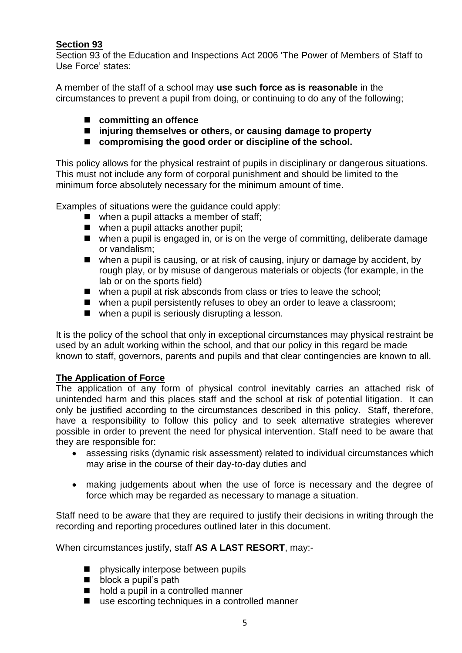# **Section 93**

Section 93 of the Education and Inspections Act 2006 'The Power of Members of Staff to Use Force' states:

A member of the staff of a school may **use such force as is reasonable** in the circumstances to prevent a pupil from doing, or continuing to do any of the following;

- **committing an offence**
- **injuring themselves or others, or causing damage to property**
- compromising the good order or discipline of the school.

This policy allows for the physical restraint of pupils in disciplinary or dangerous situations. This must not include any form of corporal punishment and should be limited to the minimum force absolutely necessary for the minimum amount of time.

Examples of situations were the guidance could apply:

- when a pupil attacks a member of staff;
- when a pupil attacks another pupil;
- when a pupil is engaged in, or is on the verge of committing, deliberate damage or vandalism;
- when a pupil is causing, or at risk of causing, injury or damage by accident, by rough play, or by misuse of dangerous materials or objects (for example, in the lab or on the sports field)
- when a pupil at risk absconds from class or tries to leave the school;
- when a pupil persistently refuses to obey an order to leave a classroom;
- when a pupil is seriously disrupting a lesson.

It is the policy of the school that only in exceptional circumstances may physical restraint be used by an adult working within the school, and that our policy in this regard be made known to staff, governors, parents and pupils and that clear contingencies are known to all.

# **The Application of Force**

The application of any form of physical control inevitably carries an attached risk of unintended harm and this places staff and the school at risk of potential litigation. It can only be justified according to the circumstances described in this policy. Staff, therefore, have a responsibility to follow this policy and to seek alternative strategies wherever possible in order to prevent the need for physical intervention. Staff need to be aware that they are responsible for:

- assessing risks (dynamic risk assessment) related to individual circumstances which may arise in the course of their day-to-day duties and
- making judgements about when the use of force is necessary and the degree of force which may be regarded as necessary to manage a situation.

Staff need to be aware that they are required to justify their decisions in writing through the recording and reporting procedures outlined later in this document.

When circumstances justify, staff **AS A LAST RESORT**, may:-

- **n** physically interpose between pupils
- block a pupil's path
- hold a pupil in a controlled manner
- use escorting techniques in a controlled manner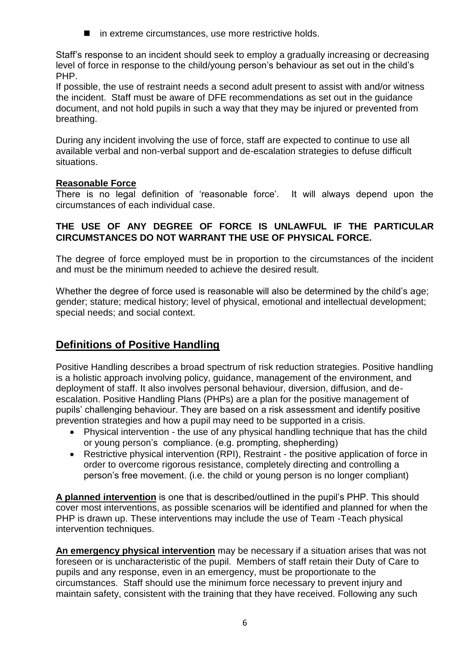■ in extreme circumstances, use more restrictive holds.

Staff's response to an incident should seek to employ a gradually increasing or decreasing level of force in response to the child/young person's behaviour as set out in the child's PHP.

If possible, the use of restraint needs a second adult present to assist with and/or witness the incident. Staff must be aware of DFE recommendations as set out in the guidance document, and not hold pupils in such a way that they may be injured or prevented from breathing.

During any incident involving the use of force, staff are expected to continue to use all available verbal and non-verbal support and de-escalation strategies to defuse difficult situations.

#### **Reasonable Force**

There is no legal definition of 'reasonable force'. It will always depend upon the circumstances of each individual case.

#### **THE USE OF ANY DEGREE OF FORCE IS UNLAWFUL IF THE PARTICULAR CIRCUMSTANCES DO NOT WARRANT THE USE OF PHYSICAL FORCE.**

The degree of force employed must be in proportion to the circumstances of the incident and must be the minimum needed to achieve the desired result.

Whether the degree of force used is reasonable will also be determined by the child's age; gender; stature; medical history; level of physical, emotional and intellectual development; special needs; and social context.

# **Definitions of Positive Handling**

Positive Handling describes a broad spectrum of risk reduction strategies. Positive handling is a holistic approach involving policy, guidance, management of the environment, and deployment of staff. It also involves personal behaviour, diversion, diffusion, and deescalation. Positive Handling Plans (PHPs) are a plan for the positive management of pupils' challenging behaviour. They are based on a risk assessment and identify positive prevention strategies and how a pupil may need to be supported in a crisis.

- Physical intervention the use of any physical handling technique that has the child or young person's compliance. (e.g. prompting, shepherding)
- Restrictive physical intervention (RPI), Restraint the positive application of force in order to overcome rigorous resistance, completely directing and controlling a person's free movement. (i.e. the child or young person is no longer compliant)

**A planned intervention** is one that is described/outlined in the pupil's PHP. This should cover most interventions, as possible scenarios will be identified and planned for when the PHP is drawn up. These interventions may include the use of Team -Teach physical intervention techniques.

**An emergency physical intervention** may be necessary if a situation arises that was not foreseen or is uncharacteristic of the pupil. Members of staff retain their Duty of Care to pupils and any response, even in an emergency, must be proportionate to the circumstances. Staff should use the minimum force necessary to prevent injury and maintain safety, consistent with the training that they have received. Following any such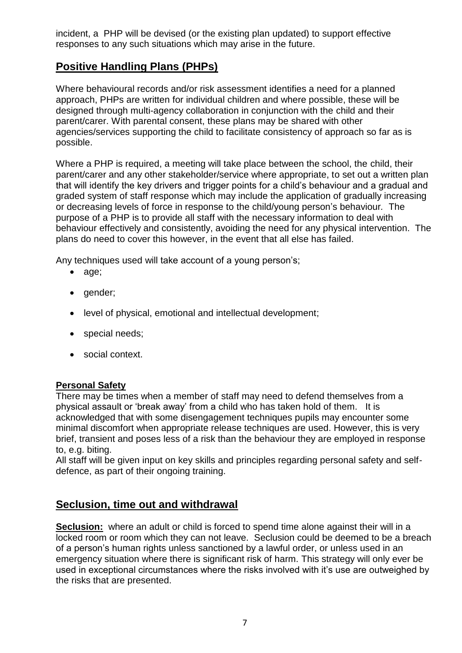incident, a PHP will be devised (or the existing plan updated) to support effective responses to any such situations which may arise in the future.

# **Positive Handling Plans (PHPs)**

Where behavioural records and/or risk assessment identifies a need for a planned approach, PHPs are written for individual children and where possible, these will be designed through multi-agency collaboration in conjunction with the child and their parent/carer. With parental consent, these plans may be shared with other agencies/services supporting the child to facilitate consistency of approach so far as is possible.

Where a PHP is required, a meeting will take place between the school, the child, their parent/carer and any other stakeholder/service where appropriate, to set out a written plan that will identify the key drivers and trigger points for a child's behaviour and a gradual and graded system of staff response which may include the application of gradually increasing or decreasing levels of force in response to the child/young person's behaviour*.* The purpose of a PHP is to provide all staff with the necessary information to deal with behaviour effectively and consistently, avoiding the need for any physical intervention. The plans do need to cover this however, in the event that all else has failed.

Any techniques used will take account of a young person's;

- age;
- gender;
- level of physical, emotional and intellectual development;
- special needs;
- social context.

# **Personal Safety**

There may be times when a member of staff may need to defend themselves from a physical assault or 'break away' from a child who has taken hold of them. It is acknowledged that with some disengagement techniques pupils may encounter some minimal discomfort when appropriate release techniques are used. However, this is very brief, transient and poses less of a risk than the behaviour they are employed in response to, e.g. biting.

All staff will be given input on key skills and principles regarding personal safety and selfdefence, as part of their ongoing training.

# **Seclusion, time out and withdrawal**

**Seclusion:** where an adult or child is forced to spend time alone against their will in a locked room or room which they can not leave. Seclusion could be deemed to be a breach of a person's human rights unless sanctioned by a lawful order, or unless used in an emergency situation where there is significant risk of harm. This strategy will only ever be used in exceptional circumstances where the risks involved with it's use are outweighed by the risks that are presented.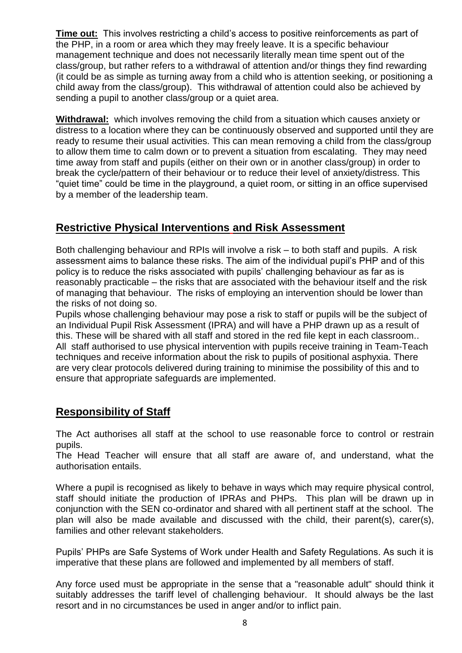**Time out:** This involves restricting a child's access to positive reinforcements as part of the PHP, in a room or area which they may freely leave. It is a specific behaviour management technique and does not necessarily literally mean time spent out of the class/group, but rather refers to a withdrawal of attention and/or things they find rewarding (it could be as simple as turning away from a child who is attention seeking, or positioning a child away from the class/group). This withdrawal of attention could also be achieved by sending a pupil to another class/group or a quiet area.

**Withdrawal:** which involves removing the child from a situation which causes anxiety or distress to a location where they can be continuously observed and supported until they are ready to resume their usual activities. This can mean removing a child from the class/group to allow them time to calm down or to prevent a situation from escalating. They may need time away from staff and pupils (either on their own or in another class/group) in order to break the cycle/pattern of their behaviour or to reduce their level of anxiety/distress. This "quiet time" could be time in the playground, a quiet room, or sitting in an office supervised by a member of the leadership team.

# **Restrictive Physical Interventions and Risk Assessment**

Both challenging behaviour and RPIs will involve a risk – to both staff and pupils. A risk assessment aims to balance these risks. The aim of the individual pupil's PHP and of this policy is to reduce the risks associated with pupils' challenging behaviour as far as is reasonably practicable – the risks that are associated with the behaviour itself and the risk of managing that behaviour. The risks of employing an intervention should be lower than the risks of not doing so.

Pupils whose challenging behaviour may pose a risk to staff or pupils will be the subject of an Individual Pupil Risk Assessment (IPRA) and will have a PHP drawn up as a result of this. These will be shared with all staff and stored in the red file kept in each classroom.. All staff authorised to use physical intervention with pupils receive training in Team-Teach techniques and receive information about the risk to pupils of positional asphyxia. There are very clear protocols delivered during training to minimise the possibility of this and to ensure that appropriate safeguards are implemented.

# **Responsibility of Staff**

The Act authorises all staff at the school to use reasonable force to control or restrain pupils.

The Head Teacher will ensure that all staff are aware of, and understand, what the authorisation entails.

Where a pupil is recognised as likely to behave in ways which may require physical control, staff should initiate the production of IPRAs and PHPs. This plan will be drawn up in conjunction with the SEN co-ordinator and shared with all pertinent staff at the school. The plan will also be made available and discussed with the child, their parent(s), carer(s), families and other relevant stakeholders.

Pupils' PHPs are Safe Systems of Work under Health and Safety Regulations. As such it is imperative that these plans are followed and implemented by all members of staff.

Any force used must be appropriate in the sense that a "reasonable adult" should think it suitably addresses the tariff level of challenging behaviour. It should always be the last resort and in no circumstances be used in anger and/or to inflict pain.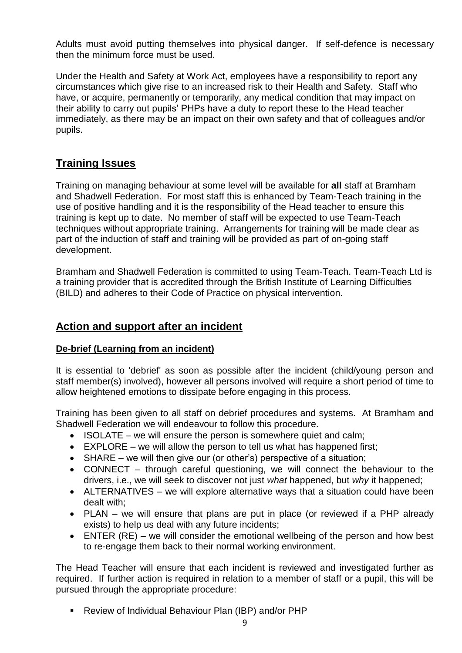Adults must avoid putting themselves into physical danger. If self-defence is necessary then the minimum force must be used.

Under the Health and Safety at Work Act, employees have a responsibility to report any circumstances which give rise to an increased risk to their Health and Safety. Staff who have, or acquire, permanently or temporarily, any medical condition that may impact on their ability to carry out pupils' PHPs have a duty to report these to the Head teacher immediately, as there may be an impact on their own safety and that of colleagues and/or pupils.

# **Training Issues**

Training on managing behaviour at some level will be available for **all** staff at Bramham and Shadwell Federation. For most staff this is enhanced by Team-Teach training in the use of positive handling and it is the responsibility of the Head teacher to ensure this training is kept up to date. No member of staff will be expected to use Team-Teach techniques without appropriate training. Arrangements for training will be made clear as part of the induction of staff and training will be provided as part of on-going staff development.

Bramham and Shadwell Federation is committed to using Team-Teach. Team-Teach Ltd is a training provider that is accredited through the British Institute of Learning Difficulties (BILD) and adheres to their Code of Practice on physical intervention.

# **Action and support after an incident**

# **De-brief (Learning from an incident)**

It is essential to 'debrief' as soon as possible after the incident (child/young person and staff member(s) involved), however all persons involved will require a short period of time to allow heightened emotions to dissipate before engaging in this process.

Training has been given to all staff on debrief procedures and systems. At Bramham and Shadwell Federation we will endeavour to follow this procedure.

- $\bullet$  ISOLATE we will ensure the person is somewhere quiet and calm;
- $\bullet$  EXPLORE we will allow the person to tell us what has happened first;
- SHARE we will then give our (or other's) perspective of a situation;
- CONNECT through careful questioning, we will connect the behaviour to the drivers, i.e., we will seek to discover not just *what* happened, but *why* it happened;
- ALTERNATIVES we will explore alternative ways that a situation could have been dealt with;
- PLAN we will ensure that plans are put in place (or reviewed if a PHP already exists) to help us deal with any future incidents;
- ENTER (RE) we will consider the emotional wellbeing of the person and how best to re-engage them back to their normal working environment.

The Head Teacher will ensure that each incident is reviewed and investigated further as required. If further action is required in relation to a member of staff or a pupil, this will be pursued through the appropriate procedure:

Review of Individual Behaviour Plan (IBP) and/or PHP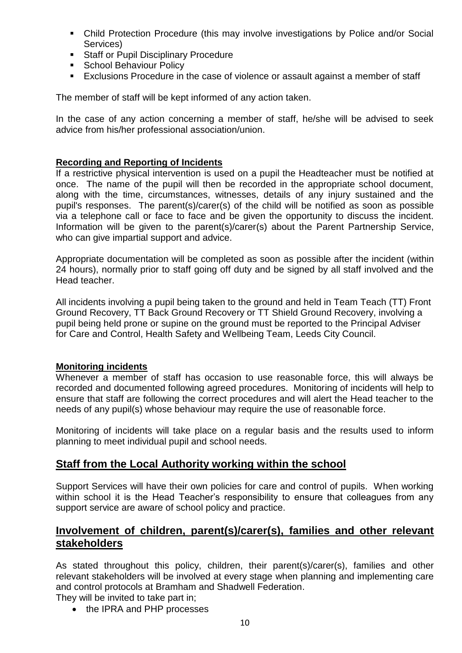- Child Protection Procedure (this may involve investigations by Police and/or Social Services)
- **Staff or Pupil Disciplinary Procedure**
- **School Behaviour Policy**
- Exclusions Procedure in the case of violence or assault against a member of staff

The member of staff will be kept informed of any action taken.

In the case of any action concerning a member of staff, he/she will be advised to seek advice from his/her professional association/union.

# **Recording and Reporting of Incidents**

If a restrictive physical intervention is used on a pupil the Headteacher must be notified at once. The name of the pupil will then be recorded in the appropriate school document, along with the time, circumstances, witnesses, details of any injury sustained and the pupil's responses. The parent(s)/carer(s) of the child will be notified as soon as possible via a telephone call or face to face and be given the opportunity to discuss the incident. Information will be given to the parent(s)/carer(s) about the Parent Partnership Service, who can give impartial support and advice.

Appropriate documentation will be completed as soon as possible after the incident (within 24 hours), normally prior to staff going off duty and be signed by all staff involved and the Head teacher.

All incidents involving a pupil being taken to the ground and held in Team Teach (TT) Front Ground Recovery, TT Back Ground Recovery or TT Shield Ground Recovery, involving a pupil being held prone or supine on the ground must be reported to the Principal Adviser for Care and Control, Health Safety and Wellbeing Team, Leeds City Council.

# **Monitoring incidents**

Whenever a member of staff has occasion to use reasonable force, this will always be recorded and documented following agreed procedures. Monitoring of incidents will help to ensure that staff are following the correct procedures and will alert the Head teacher to the needs of any pupil(s) whose behaviour may require the use of reasonable force.

Monitoring of incidents will take place on a regular basis and the results used to inform planning to meet individual pupil and school needs.

# **Staff from the Local Authority working within the school**

Support Services will have their own policies for care and control of pupils. When working within school it is the Head Teacher's responsibility to ensure that colleagues from any support service are aware of school policy and practice.

# **Involvement of children, parent(s)/carer(s), families and other relevant stakeholders**

As stated throughout this policy, children, their parent(s)/carer(s), families and other relevant stakeholders will be involved at every stage when planning and implementing care and control protocols at Bramham and Shadwell Federation.

They will be invited to take part in;

• the IPRA and PHP processes